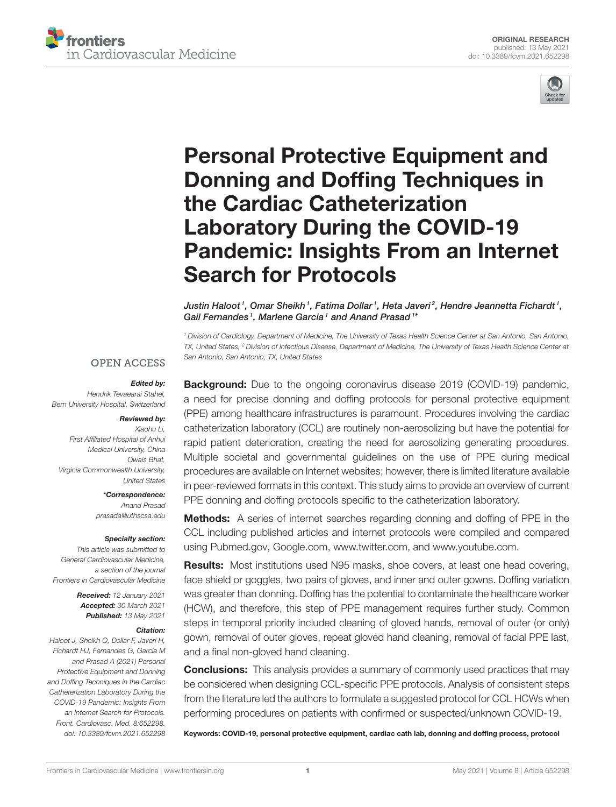



# Personal Protective Equipment and Donning and Doffing Techniques in the Cardiac Catheterization Laboratory During the COVID-19 [Pandemic: Insights From an Internet](https://www.frontiersin.org/articles/10.3389/fcvm.2021.652298/full) Search for Protocols

Justin Haloot  $^{\rm 1}$ , Omar Sheikh  $^{\rm 1}$ , Fatima Dollar  $^{\rm 1}$ , Heta Javeri  $^{\rm 2}$ , Hendre Jeannetta Fichardt  $^{\rm 1}$ , Gail Fernandes<sup>1</sup>, Marlene Garcia<sup>1</sup> and Anand Prasad<sup>1\*</sup>

*<sup>1</sup> Division of Cardiology, Department of Medicine, The University of Texas Health Science Center at San Antonio, San Antonio, TX, United States, <sup>2</sup> Division of Infectious Disease, Department of Medicine, The University of Texas Health Science Center at San Antonio, San Antonio, TX, United States*

#### **OPEN ACCESS**

#### Edited by:

*Hendrik Tevaearai Stahel, Bern University Hospital, Switzerland*

#### Reviewed by:

*Xiaohu Li, First Affiliated Hospital of Anhui Medical University, China Owais Bhat, Virginia Commonwealth University, United States*

> \*Correspondence: *Anand Prasad [prasada@uthscsa.edu](mailto:prasada@uthscsa.edu)*

#### Specialty section:

*This article was submitted to General Cardiovascular Medicine, a section of the journal Frontiers in Cardiovascular Medicine*

> Received: *12 January 2021* Accepted: *30 March 2021* Published: *13 May 2021*

#### Citation:

*Haloot J, Sheikh O, Dollar F, Javeri H, Fichardt HJ, Fernandes G, Garcia M and Prasad A (2021) Personal Protective Equipment and Donning and Doffing Techniques in the Cardiac Catheterization Laboratory During the COVID-19 Pandemic: Insights From an Internet Search for Protocols. Front. Cardiovasc. Med. 8:652298. doi: [10.3389/fcvm.2021.652298](https://doi.org/10.3389/fcvm.2021.652298)*

**Background:** Due to the ongoing coronavirus disease 2019 (COVID-19) pandemic, a need for precise donning and doffing protocols for personal protective equipment (PPE) among healthcare infrastructures is paramount. Procedures involving the cardiac catheterization laboratory (CCL) are routinely non-aerosolizing but have the potential for rapid patient deterioration, creating the need for aerosolizing generating procedures. Multiple societal and governmental guidelines on the use of PPE during medical procedures are available on Internet websites; however, there is limited literature available in peer-reviewed formats in this context. This study aims to provide an overview of current PPE donning and doffing protocols specific to the catheterization laboratory.

Methods: A series of internet searches regarding donning and doffing of PPE in the CCL including published articles and internet protocols were compiled and compared using [Pubmed.gov,](https://Pubmed.gov) [Google.com,](https://Google.com) [www.twitter.com,](https://www.twitter.com) and [www.youtube.com.](https://www.youtube.com)

Results: Most institutions used N95 masks, shoe covers, at least one head covering, face shield or goggles, two pairs of gloves, and inner and outer gowns. Doffing variation was greater than donning. Doffing has the potential to contaminate the healthcare worker (HCW), and therefore, this step of PPE management requires further study. Common steps in temporal priority included cleaning of gloved hands, removal of outer (or only) gown, removal of outer gloves, repeat gloved hand cleaning, removal of facial PPE last, and a final non-gloved hand cleaning.

**Conclusions:** This analysis provides a summary of commonly used practices that may be considered when designing CCL-specific PPE protocols. Analysis of consistent steps from the literature led the authors to formulate a suggested protocol for CCL HCWs when performing procedures on patients with confirmed or suspected/unknown COVID-19.

Keywords: COVID-19, personal protective equipment, cardiac cath lab, donning and doffing process, protocol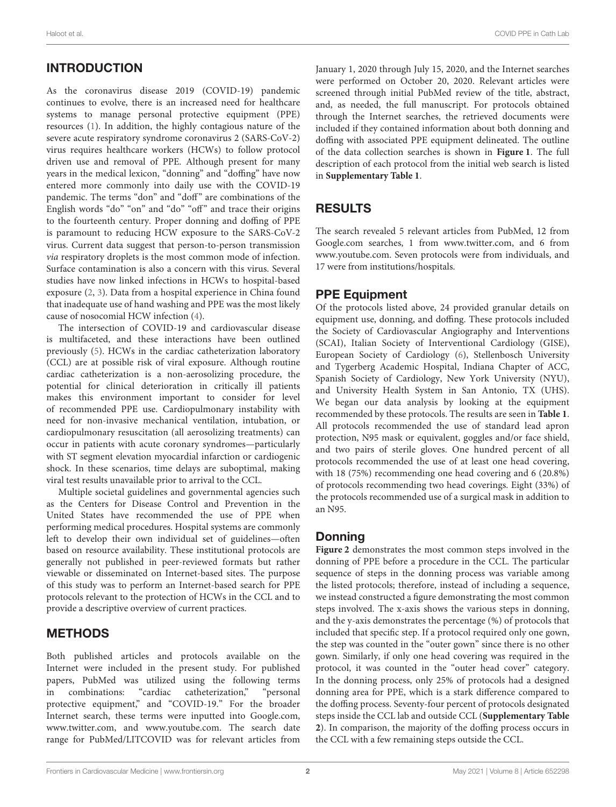# INTRODUCTION

As the coronavirus disease 2019 (COVID-19) pandemic continues to evolve, there is an increased need for healthcare systems to manage personal protective equipment (PPE) resources [\(1\)](#page-6-0). In addition, the highly contagious nature of the severe acute respiratory syndrome coronavirus 2 (SARS-CoV-2) virus requires healthcare workers (HCWs) to follow protocol driven use and removal of PPE. Although present for many years in the medical lexicon, "donning" and "doffing" have now entered more commonly into daily use with the COVID-19 pandemic. The terms "don" and "doff" are combinations of the English words "do" "on" and "do" "off" and trace their origins to the fourteenth century. Proper donning and doffing of PPE is paramount to reducing HCW exposure to the SARS-CoV-2 virus. Current data suggest that person-to-person transmission via respiratory droplets is the most common mode of infection. Surface contamination is also a concern with this virus. Several studies have now linked infections in HCWs to hospital-based exposure [\(2,](#page-6-1) [3\)](#page-6-2). Data from a hospital experience in China found that inadequate use of hand washing and PPE was the most likely cause of nosocomial HCW infection [\(4\)](#page-6-3).

The intersection of COVID-19 and cardiovascular disease is multifaceted, and these interactions have been outlined previously [\(5\)](#page-6-4). HCWs in the cardiac catheterization laboratory (CCL) are at possible risk of viral exposure. Although routine cardiac catheterization is a non-aerosolizing procedure, the potential for clinical deterioration in critically ill patients makes this environment important to consider for level of recommended PPE use. Cardiopulmonary instability with need for non-invasive mechanical ventilation, intubation, or cardiopulmonary resuscitation (all aerosolizing treatments) can occur in patients with acute coronary syndromes—particularly with ST segment elevation myocardial infarction or cardiogenic shock. In these scenarios, time delays are suboptimal, making viral test results unavailable prior to arrival to the CCL.

Multiple societal guidelines and governmental agencies such as the Centers for Disease Control and Prevention in the United States have recommended the use of PPE when performing medical procedures. Hospital systems are commonly left to develop their own individual set of guidelines—often based on resource availability. These institutional protocols are generally not published in peer-reviewed formats but rather viewable or disseminated on Internet-based sites. The purpose of this study was to perform an Internet-based search for PPE protocols relevant to the protection of HCWs in the CCL and to provide a descriptive overview of current practices.

## METHODS

Both published articles and protocols available on the Internet were included in the present study. For published papers, PubMed was utilized using the following terms in combinations: "cardiac catheterization," "personal protective equipment," and "COVID-19." For the broader Internet search, these terms were inputted into [Google.com,](https://Google.com) [www.twitter.com,](https://www.twitter.com) and [www.youtube.com.](https://www.youtube.com) The search date range for PubMed/LITCOVID was for relevant articles from January 1, 2020 through July 15, 2020, and the Internet searches were performed on October 20, 2020. Relevant articles were screened through initial PubMed review of the title, abstract, and, as needed, the full manuscript. For protocols obtained through the Internet searches, the retrieved documents were included if they contained information about both donning and doffing with associated PPE equipment delineated. The outline of the data collection searches is shown in **[Figure 1](#page-2-0)**. The full description of each protocol from the initial web search is listed in **[Supplementary Table 1](#page-6-5)**.

# RESULTS

The search revealed 5 relevant articles from PubMed, 12 from [Google.com](https://Google.com) searches, 1 from [www.twitter.com,](https://www.twitter.com) and 6 from [www.youtube.com.](https://www.youtube.com) Seven protocols were from individuals, and 17 were from institutions/hospitals.

## PPE Equipment

Of the protocols listed above, 24 provided granular details on equipment use, donning, and doffing. These protocols included the Society of Cardiovascular Angiography and Interventions (SCAI), Italian Society of Interventional Cardiology (GISE), European Society of Cardiology [\(6\)](#page-6-6), Stellenbosch University and Tygerberg Academic Hospital, Indiana Chapter of ACC, Spanish Society of Cardiology, New York University (NYU), and University Health System in San Antonio, TX (UHS). We began our data analysis by looking at the equipment recommended by these protocols. The results are seen in **[Table 1](#page-2-1)**. All protocols recommended the use of standard lead apron protection, N95 mask or equivalent, goggles and/or face shield, and two pairs of sterile gloves. One hundred percent of all protocols recommended the use of at least one head covering, with 18 (75%) recommending one head covering and 6 (20.8%) of protocols recommending two head coverings. Eight (33%) of the protocols recommended use of a surgical mask in addition to an N95.

## Donning

**[Figure 2](#page-3-0)** demonstrates the most common steps involved in the donning of PPE before a procedure in the CCL. The particular sequence of steps in the donning process was variable among the listed protocols; therefore, instead of including a sequence, we instead constructed a figure demonstrating the most common steps involved. The x-axis shows the various steps in donning, and the y-axis demonstrates the percentage (%) of protocols that included that specific step. If a protocol required only one gown, the step was counted in the "outer gown" since there is no other gown. Similarly, if only one head covering was required in the protocol, it was counted in the "outer head cover" category. In the donning process, only 25% of protocols had a designed donning area for PPE, which is a stark difference compared to the doffing process. Seventy-four percent of protocols designated steps inside the CCL lab and outside CCL (**[Supplementary Table](#page-6-5) [2](#page-6-5)**). In comparison, the majority of the doffing process occurs in the CCL with a few remaining steps outside the CCL.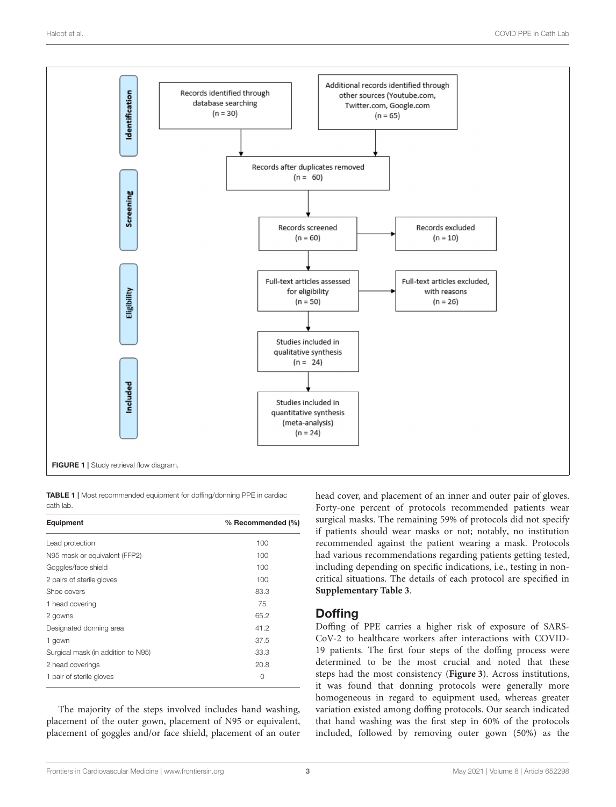

<span id="page-2-1"></span><span id="page-2-0"></span>TABLE 1 | Most recommended equipment for doffing/donning PPE in cardiac cath lab.

| Equipment                          | % Recommended (%) |  |
|------------------------------------|-------------------|--|
| Lead protection                    | 100               |  |
| N95 mask or equivalent (FFP2)      | 100               |  |
| Goggles/face shield                | 100               |  |
| 2 pairs of sterile gloves          | 100               |  |
| Shoe covers                        | 83.3              |  |
| 1 head covering                    | 75                |  |
| 2 gowns                            | 65.2              |  |
| Designated donning area            | 41.2              |  |
| 1 gown                             | 37.5              |  |
| Surgical mask (in addition to N95) | 33.3              |  |
| 2 head coverings                   | 20.8              |  |
| 1 pair of sterile gloves           | 0                 |  |

The majority of the steps involved includes hand washing, placement of the outer gown, placement of N95 or equivalent, placement of goggles and/or face shield, placement of an outer head cover, and placement of an inner and outer pair of gloves. Forty-one percent of protocols recommended patients wear surgical masks. The remaining 59% of protocols did not specify if patients should wear masks or not; notably, no institution recommended against the patient wearing a mask. Protocols had various recommendations regarding patients getting tested, including depending on specific indications, i.e., testing in noncritical situations. The details of each protocol are specified in **[Supplementary Table 3](#page-6-5)**.

## **Doffing**

Doffing of PPE carries a higher risk of exposure of SARS-CoV-2 to healthcare workers after interactions with COVID-19 patients. The first four steps of the doffing process were determined to be the most crucial and noted that these steps had the most consistency (**[Figure 3](#page-3-1)**). Across institutions, it was found that donning protocols were generally more homogeneous in regard to equipment used, whereas greater variation existed among doffing protocols. Our search indicated that hand washing was the first step in 60% of the protocols included, followed by removing outer gown (50%) as the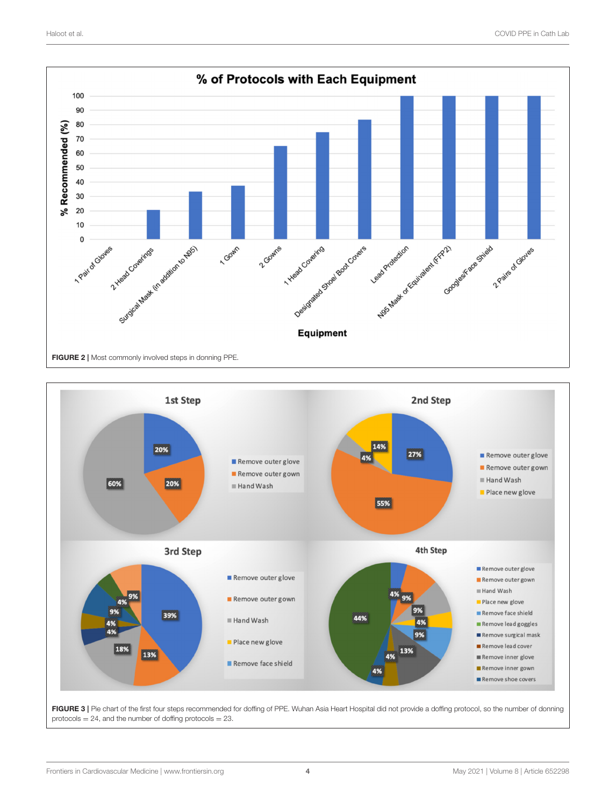

<span id="page-3-0"></span>

<span id="page-3-1"></span>FIGURE 3 | Pie chart of the first four steps recommended for doffing of PPE. Wuhan Asia Heart Hospital did not provide a doffing protocol, so the number of donning protocols  $= 24$ , and the number of doffing protocols  $= 23$ .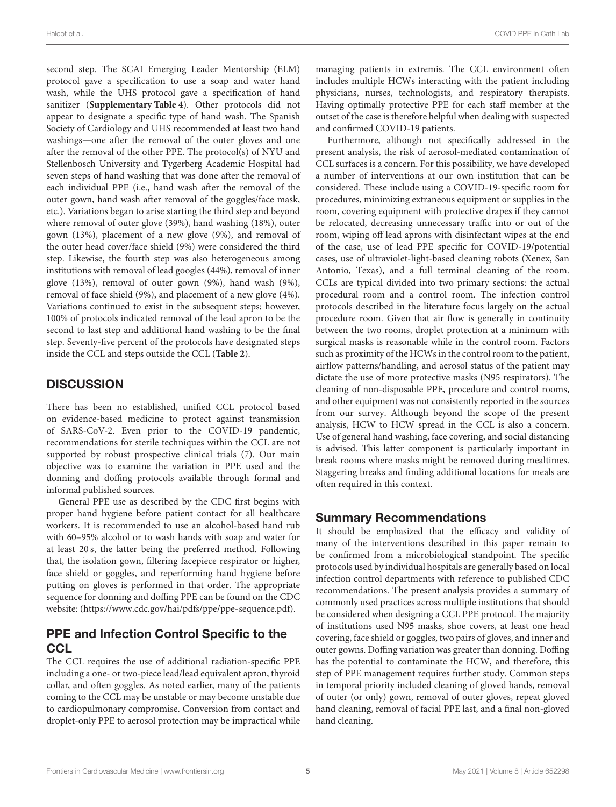Haloot et al. COVID PPE in Cath Lab

second step. The SCAI Emerging Leader Mentorship (ELM) protocol gave a specification to use a soap and water hand wash, while the UHS protocol gave a specification of hand sanitizer (**[Supplementary Table 4](#page-6-5)**). Other protocols did not appear to designate a specific type of hand wash. The Spanish Society of Cardiology and UHS recommended at least two hand washings—one after the removal of the outer gloves and one after the removal of the other PPE. The protocol(s) of NYU and Stellenbosch University and Tygerberg Academic Hospital had seven steps of hand washing that was done after the removal of each individual PPE (i.e., hand wash after the removal of the outer gown, hand wash after removal of the goggles/face mask, etc.). Variations began to arise starting the third step and beyond where removal of outer glove (39%), hand washing (18%), outer gown (13%), placement of a new glove (9%), and removal of the outer head cover/face shield (9%) were considered the third step. Likewise, the fourth step was also heterogeneous among institutions with removal of lead googles (44%), removal of inner glove (13%), removal of outer gown (9%), hand wash (9%), removal of face shield (9%), and placement of a new glove (4%). Variations continued to exist in the subsequent steps; however, 100% of protocols indicated removal of the lead apron to be the second to last step and additional hand washing to be the final step. Seventy-five percent of the protocols have designated steps inside the CCL and steps outside the CCL (**[Table 2](#page-5-0)**).

## **DISCUSSION**

There has been no established, unified CCL protocol based on evidence-based medicine to protect against transmission of SARS-CoV-2. Even prior to the COVID-19 pandemic, recommendations for sterile techniques within the CCL are not supported by robust prospective clinical trials [\(7\)](#page-6-7). Our main objective was to examine the variation in PPE used and the donning and doffing protocols available through formal and informal published sources.

General PPE use as described by the CDC first begins with proper hand hygiene before patient contact for all healthcare workers. It is recommended to use an alcohol-based hand rub with 60–95% alcohol or to wash hands with soap and water for at least 20 s, the latter being the preferred method. Following that, the isolation gown, filtering facepiece respirator or higher, face shield or goggles, and reperforming hand hygiene before putting on gloves is performed in that order. The appropriate sequence for donning and doffing PPE can be found on the CDC website: [\(https://www.cdc.gov/hai/pdfs/ppe/ppe-sequence.pdf\)](https://www.cdc.gov/hai/pdfs/ppe/ppe-sequence.pdf).

## PPE and Infection Control Specific to the **CCL**

The CCL requires the use of additional radiation-specific PPE including a one- or two-piece lead/lead equivalent apron, thyroid collar, and often goggles. As noted earlier, many of the patients coming to the CCL may be unstable or may become unstable due to cardiopulmonary compromise. Conversion from contact and droplet-only PPE to aerosol protection may be impractical while managing patients in extremis. The CCL environment often includes multiple HCWs interacting with the patient including physicians, nurses, technologists, and respiratory therapists. Having optimally protective PPE for each staff member at the outset of the case is therefore helpful when dealing with suspected and confirmed COVID-19 patients.

Furthermore, although not specifically addressed in the present analysis, the risk of aerosol-mediated contamination of CCL surfaces is a concern. For this possibility, we have developed a number of interventions at our own institution that can be considered. These include using a COVID-19-specific room for procedures, minimizing extraneous equipment or supplies in the room, covering equipment with protective drapes if they cannot be relocated, decreasing unnecessary traffic into or out of the room, wiping off lead aprons with disinfectant wipes at the end of the case, use of lead PPE specific for COVID-19/potential cases, use of ultraviolet-light-based cleaning robots (Xenex, San Antonio, Texas), and a full terminal cleaning of the room. CCLs are typical divided into two primary sections: the actual procedural room and a control room. The infection control protocols described in the literature focus largely on the actual procedure room. Given that air flow is generally in continuity between the two rooms, droplet protection at a minimum with surgical masks is reasonable while in the control room. Factors such as proximity of the HCWs in the control room to the patient, airflow patterns/handling, and aerosol status of the patient may dictate the use of more protective masks (N95 respirators). The cleaning of non-disposable PPE, procedure and control rooms, and other equipment was not consistently reported in the sources from our survey. Although beyond the scope of the present analysis, HCW to HCW spread in the CCL is also a concern. Use of general hand washing, face covering, and social distancing is advised. This latter component is particularly important in break rooms where masks might be removed during mealtimes. Staggering breaks and finding additional locations for meals are often required in this context.

#### Summary Recommendations

It should be emphasized that the efficacy and validity of many of the interventions described in this paper remain to be confirmed from a microbiological standpoint. The specific protocols used by individual hospitals are generally based on local infection control departments with reference to published CDC recommendations. The present analysis provides a summary of commonly used practices across multiple institutions that should be considered when designing a CCL PPE protocol. The majority of institutions used N95 masks, shoe covers, at least one head covering, face shield or goggles, two pairs of gloves, and inner and outer gowns. Doffing variation was greater than donning. Doffing has the potential to contaminate the HCW, and therefore, this step of PPE management requires further study. Common steps in temporal priority included cleaning of gloved hands, removal of outer (or only) gown, removal of outer gloves, repeat gloved hand cleaning, removal of facial PPE last, and a final non-gloved hand cleaning.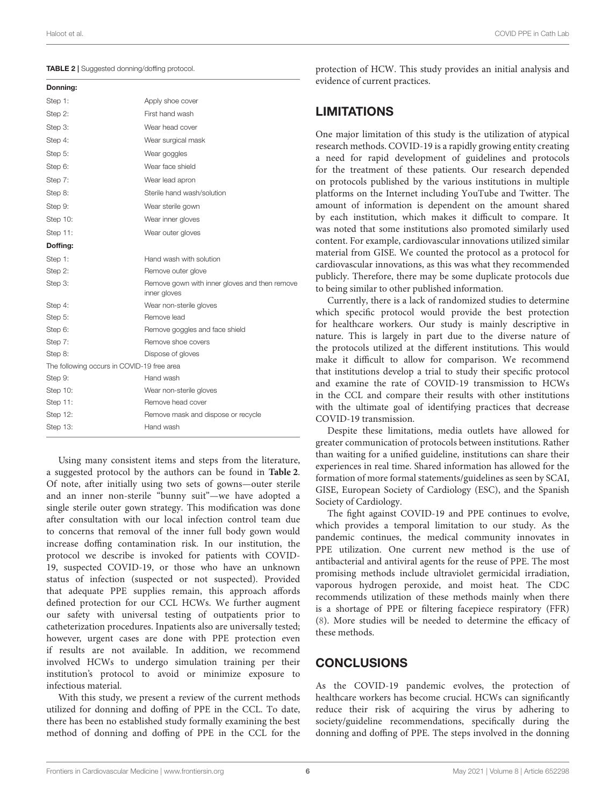<span id="page-5-0"></span>

|  |  | <b>TABLE 2</b>   Suggested donning/doffing protocol. |  |
|--|--|------------------------------------------------------|--|
|--|--|------------------------------------------------------|--|

| Apply shoe cover                                              |  |
|---------------------------------------------------------------|--|
| First hand wash                                               |  |
| Wear head cover                                               |  |
| Wear surgical mask                                            |  |
| Wear goggles                                                  |  |
| Wear face shield                                              |  |
| Wear lead apron                                               |  |
| Sterile hand wash/solution                                    |  |
| Wear sterile gown                                             |  |
| Wear inner gloves                                             |  |
| Wear outer gloves                                             |  |
|                                                               |  |
| Hand wash with solution                                       |  |
| Remove outer glove                                            |  |
| Remove gown with inner gloves and then remove<br>inner gloves |  |
| Wear non-sterile gloves                                       |  |
| Remove lead                                                   |  |
| Remove goggles and face shield                                |  |
| Remove shoe covers                                            |  |
| Dispose of gloves                                             |  |
| The following occurs in COVID-19 free area                    |  |
| Hand wash                                                     |  |
| Wear non-sterile gloves                                       |  |
| Remove head cover                                             |  |
| Remove mask and dispose or recycle                            |  |
| Hand wash                                                     |  |
|                                                               |  |

Using many consistent items and steps from the literature, a suggested protocol by the authors can be found in **[Table 2](#page-5-0)**. Of note, after initially using two sets of gowns—outer sterile and an inner non-sterile "bunny suit"—we have adopted a single sterile outer gown strategy. This modification was done after consultation with our local infection control team due to concerns that removal of the inner full body gown would increase doffing contamination risk. In our institution, the protocol we describe is invoked for patients with COVID-19, suspected COVID-19, or those who have an unknown status of infection (suspected or not suspected). Provided that adequate PPE supplies remain, this approach affords defined protection for our CCL HCWs. We further augment our safety with universal testing of outpatients prior to catheterization procedures. Inpatients also are universally tested; however, urgent cases are done with PPE protection even if results are not available. In addition, we recommend involved HCWs to undergo simulation training per their institution's protocol to avoid or minimize exposure to infectious material.

With this study, we present a review of the current methods utilized for donning and doffing of PPE in the CCL. To date, there has been no established study formally examining the best method of donning and doffing of PPE in the CCL for the protection of HCW. This study provides an initial analysis and evidence of current practices.

#### **LIMITATIONS**

One major limitation of this study is the utilization of atypical research methods. COVID-19 is a rapidly growing entity creating a need for rapid development of guidelines and protocols for the treatment of these patients. Our research depended on protocols published by the various institutions in multiple platforms on the Internet including YouTube and Twitter. The amount of information is dependent on the amount shared by each institution, which makes it difficult to compare. It was noted that some institutions also promoted similarly used content. For example, cardiovascular innovations utilized similar material from GISE. We counted the protocol as a protocol for cardiovascular innovations, as this was what they recommended publicly. Therefore, there may be some duplicate protocols due to being similar to other published information.

Currently, there is a lack of randomized studies to determine which specific protocol would provide the best protection for healthcare workers. Our study is mainly descriptive in nature. This is largely in part due to the diverse nature of the protocols utilized at the different institutions. This would make it difficult to allow for comparison. We recommend that institutions develop a trial to study their specific protocol and examine the rate of COVID-19 transmission to HCWs in the CCL and compare their results with other institutions with the ultimate goal of identifying practices that decrease COVID-19 transmission.

Despite these limitations, media outlets have allowed for greater communication of protocols between institutions. Rather than waiting for a unified guideline, institutions can share their experiences in real time. Shared information has allowed for the formation of more formal statements/guidelines as seen by SCAI, GISE, European Society of Cardiology (ESC), and the Spanish Society of Cardiology.

The fight against COVID-19 and PPE continues to evolve, which provides a temporal limitation to our study. As the pandemic continues, the medical community innovates in PPE utilization. One current new method is the use of antibacterial and antiviral agents for the reuse of PPE. The most promising methods include ultraviolet germicidal irradiation, vaporous hydrogen peroxide, and moist heat. The CDC recommends utilization of these methods mainly when there is a shortage of PPE or filtering facepiece respiratory (FFR) [\(8\)](#page-6-8). More studies will be needed to determine the efficacy of these methods.

#### **CONCLUSIONS**

As the COVID-19 pandemic evolves, the protection of healthcare workers has become crucial. HCWs can significantly reduce their risk of acquiring the virus by adhering to society/guideline recommendations, specifically during the donning and doffing of PPE. The steps involved in the donning